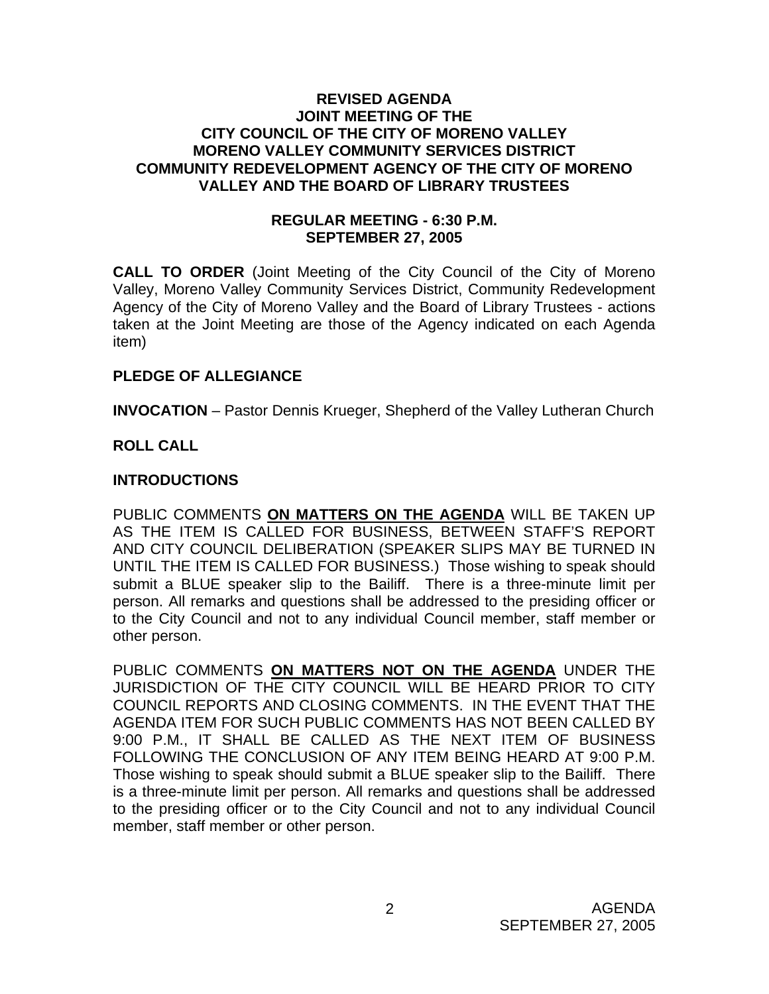## **REVISED AGENDA JOINT MEETING OF THE CITY COUNCIL OF THE CITY OF MORENO VALLEY MORENO VALLEY COMMUNITY SERVICES DISTRICT COMMUNITY REDEVELOPMENT AGENCY OF THE CITY OF MORENO VALLEY AND THE BOARD OF LIBRARY TRUSTEES**

## **REGULAR MEETING - 6:30 P.M. SEPTEMBER 27, 2005**

**CALL TO ORDER** (Joint Meeting of the City Council of the City of Moreno Valley, Moreno Valley Community Services District, Community Redevelopment Agency of the City of Moreno Valley and the Board of Library Trustees - actions taken at the Joint Meeting are those of the Agency indicated on each Agenda item)

## **PLEDGE OF ALLEGIANCE**

**INVOCATION** – Pastor Dennis Krueger, Shepherd of the Valley Lutheran Church

# **ROLL CALL**

## **INTRODUCTIONS**

PUBLIC COMMENTS **ON MATTERS ON THE AGENDA** WILL BE TAKEN UP AS THE ITEM IS CALLED FOR BUSINESS, BETWEEN STAFF'S REPORT AND CITY COUNCIL DELIBERATION (SPEAKER SLIPS MAY BE TURNED IN UNTIL THE ITEM IS CALLED FOR BUSINESS.) Those wishing to speak should submit a BLUE speaker slip to the Bailiff. There is a three-minute limit per person. All remarks and questions shall be addressed to the presiding officer or to the City Council and not to any individual Council member, staff member or other person.

PUBLIC COMMENTS **ON MATTERS NOT ON THE AGENDA** UNDER THE JURISDICTION OF THE CITY COUNCIL WILL BE HEARD PRIOR TO CITY COUNCIL REPORTS AND CLOSING COMMENTS. IN THE EVENT THAT THE AGENDA ITEM FOR SUCH PUBLIC COMMENTS HAS NOT BEEN CALLED BY 9:00 P.M., IT SHALL BE CALLED AS THE NEXT ITEM OF BUSINESS FOLLOWING THE CONCLUSION OF ANY ITEM BEING HEARD AT 9:00 P.M. Those wishing to speak should submit a BLUE speaker slip to the Bailiff. There is a three-minute limit per person. All remarks and questions shall be addressed to the presiding officer or to the City Council and not to any individual Council member, staff member or other person.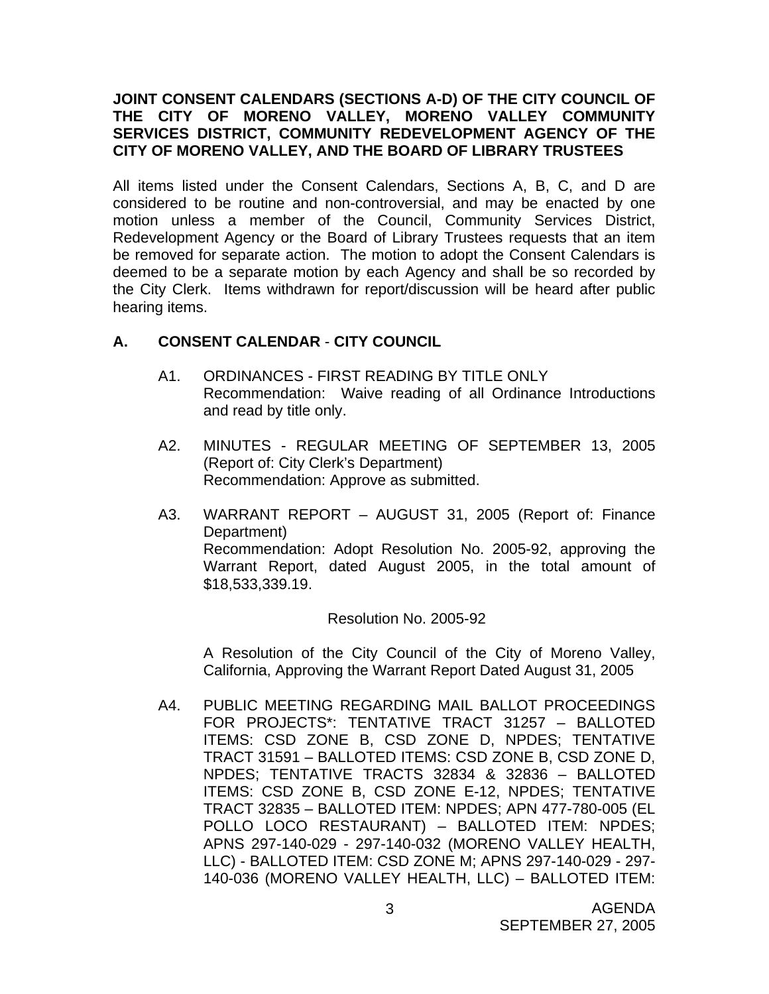## **JOINT CONSENT CALENDARS (SECTIONS A-D) OF THE CITY COUNCIL OF THE CITY OF MORENO VALLEY, MORENO VALLEY COMMUNITY SERVICES DISTRICT, COMMUNITY REDEVELOPMENT AGENCY OF THE CITY OF MORENO VALLEY, AND THE BOARD OF LIBRARY TRUSTEES**

All items listed under the Consent Calendars, Sections A, B, C, and D are considered to be routine and non-controversial, and may be enacted by one motion unless a member of the Council, Community Services District, Redevelopment Agency or the Board of Library Trustees requests that an item be removed for separate action. The motion to adopt the Consent Calendars is deemed to be a separate motion by each Agency and shall be so recorded by the City Clerk. Items withdrawn for report/discussion will be heard after public hearing items.

## **A. CONSENT CALENDAR** - **CITY COUNCIL**

- A1. ORDINANCES FIRST READING BY TITLE ONLY Recommendation: Waive reading of all Ordinance Introductions and read by title only.
- A2. MINUTES REGULAR MEETING OF SEPTEMBER 13, 2005 (Report of: City Clerk's Department) Recommendation: Approve as submitted.
- A3. WARRANT REPORT AUGUST 31, 2005 (Report of: Finance Department) Recommendation: Adopt Resolution No. 2005-92, approving the Warrant Report, dated August 2005, in the total amount of \$18,533,339.19.

## Resolution No. 2005-92

 A Resolution of the City Council of the City of Moreno Valley, California, Approving the Warrant Report Dated August 31, 2005

A4. PUBLIC MEETING REGARDING MAIL BALLOT PROCEEDINGS FOR PROJECTS\*: TENTATIVE TRACT 31257 – BALLOTED ITEMS: CSD ZONE B, CSD ZONE D, NPDES; TENTATIVE TRACT 31591 – BALLOTED ITEMS: CSD ZONE B, CSD ZONE D, NPDES; TENTATIVE TRACTS 32834 & 32836 – BALLOTED ITEMS: CSD ZONE B, CSD ZONE E-12, NPDES; TENTATIVE TRACT 32835 – BALLOTED ITEM: NPDES; APN 477-780-005 (EL POLLO LOCO RESTAURANT) – BALLOTED ITEM: NPDES; APNS 297-140-029 - 297-140-032 (MORENO VALLEY HEALTH, LLC) - BALLOTED ITEM: CSD ZONE M; APNS 297-140-029 - 297- 140-036 (MORENO VALLEY HEALTH, LLC) – BALLOTED ITEM: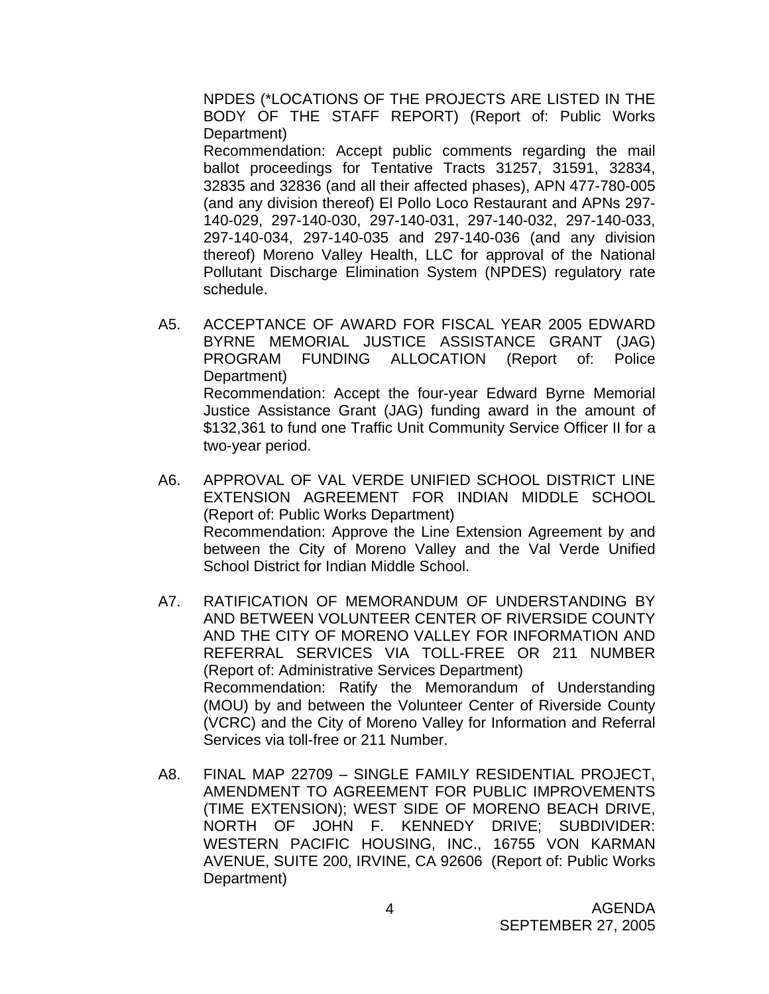NPDES (\*LOCATIONS OF THE PROJECTS ARE LISTED IN THE BODY OF THE STAFF REPORT) (Report of: Public Works Department)

 Recommendation: Accept public comments regarding the mail ballot proceedings for Tentative Tracts 31257, 31591, 32834, 32835 and 32836 (and all their affected phases), APN 477-780-005 (and any division thereof) El Pollo Loco Restaurant and APNs 297- 140-029, 297-140-030, 297-140-031, 297-140-032, 297-140-033, 297-140-034, 297-140-035 and 297-140-036 (and any division thereof) Moreno Valley Health, LLC for approval of the National Pollutant Discharge Elimination System (NPDES) regulatory rate schedule.

- A5. ACCEPTANCE OF AWARD FOR FISCAL YEAR 2005 EDWARD BYRNE MEMORIAL JUSTICE ASSISTANCE GRANT (JAG) PROGRAM FUNDING ALLOCATION (Report of: Police Department) Recommendation: Accept the four-year Edward Byrne Memorial Justice Assistance Grant (JAG) funding award in the amount of \$132,361 to fund one Traffic Unit Community Service Officer II for a two-year period.
- A6. APPROVAL OF VAL VERDE UNIFIED SCHOOL DISTRICT LINE EXTENSION AGREEMENT FOR INDIAN MIDDLE SCHOOL (Report of: Public Works Department) Recommendation: Approve the Line Extension Agreement by and between the City of Moreno Valley and the Val Verde Unified School District for Indian Middle School.
- A7. RATIFICATION OF MEMORANDUM OF UNDERSTANDING BY AND BETWEEN VOLUNTEER CENTER OF RIVERSIDE COUNTY AND THE CITY OF MORENO VALLEY FOR INFORMATION AND REFERRAL SERVICES VIA TOLL-FREE OR 211 NUMBER (Report of: Administrative Services Department) Recommendation: Ratify the Memorandum of Understanding (MOU) by and between the Volunteer Center of Riverside County (VCRC) and the City of Moreno Valley for Information and Referral Services via toll-free or 211 Number.
- A8. FINAL MAP 22709 SINGLE FAMILY RESIDENTIAL PROJECT, AMENDMENT TO AGREEMENT FOR PUBLIC IMPROVEMENTS (TIME EXTENSION); WEST SIDE OF MORENO BEACH DRIVE, NORTH OF JOHN F. KENNEDY DRIVE; SUBDIVIDER: WESTERN PACIFIC HOUSING, INC., 16755 VON KARMAN AVENUE, SUITE 200, IRVINE, CA 92606 (Report of: Public Works Department)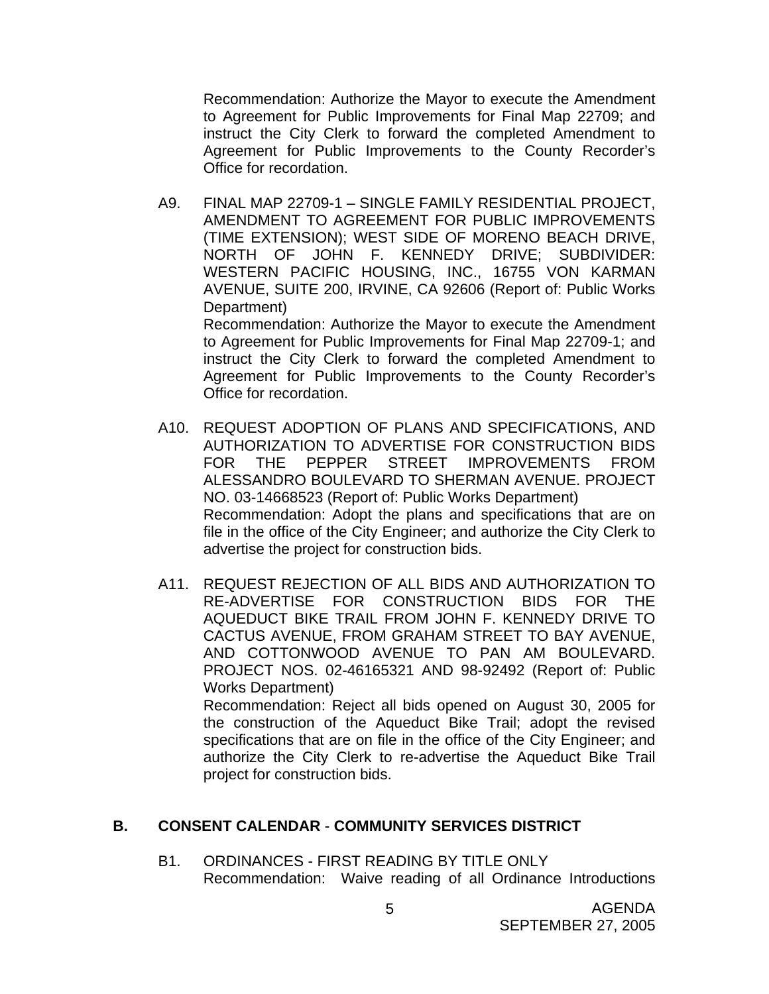Recommendation: Authorize the Mayor to execute the Amendment to Agreement for Public Improvements for Final Map 22709; and instruct the City Clerk to forward the completed Amendment to Agreement for Public Improvements to the County Recorder's Office for recordation.

A9. FINAL MAP 22709-1 – SINGLE FAMILY RESIDENTIAL PROJECT, AMENDMENT TO AGREEMENT FOR PUBLIC IMPROVEMENTS (TIME EXTENSION); WEST SIDE OF MORENO BEACH DRIVE, NORTH OF JOHN F. KENNEDY DRIVE; SUBDIVIDER: WESTERN PACIFIC HOUSING, INC., 16755 VON KARMAN AVENUE, SUITE 200, IRVINE, CA 92606 (Report of: Public Works Department) Recommendation: Authorize the Mayor to execute the Amendment

to Agreement for Public Improvements for Final Map 22709-1; and instruct the City Clerk to forward the completed Amendment to Agreement for Public Improvements to the County Recorder's Office for recordation.

- A10. REQUEST ADOPTION OF PLANS AND SPECIFICATIONS, AND AUTHORIZATION TO ADVERTISE FOR CONSTRUCTION BIDS FOR THE PEPPER STREET IMPROVEMENTS FROM ALESSANDRO BOULEVARD TO SHERMAN AVENUE. PROJECT NO. 03-14668523 (Report of: Public Works Department) Recommendation: Adopt the plans and specifications that are on file in the office of the City Engineer; and authorize the City Clerk to advertise the project for construction bids.
- A11. REQUEST REJECTION OF ALL BIDS AND AUTHORIZATION TO RE-ADVERTISE FOR CONSTRUCTION BIDS FOR THE AQUEDUCT BIKE TRAIL FROM JOHN F. KENNEDY DRIVE TO CACTUS AVENUE, FROM GRAHAM STREET TO BAY AVENUE, AND COTTONWOOD AVENUE TO PAN AM BOULEVARD. PROJECT NOS. 02-46165321 AND 98-92492 (Report of: Public Works Department) Recommendation: Reject all bids opened on August 30, 2005 for the construction of the Aqueduct Bike Trail; adopt the revised

specifications that are on file in the office of the City Engineer; and authorize the City Clerk to re-advertise the Aqueduct Bike Trail project for construction bids.

#### **B. CONSENT CALENDAR** - **COMMUNITY SERVICES DISTRICT**

B1. ORDINANCES - FIRST READING BY TITLE ONLY Recommendation: Waive reading of all Ordinance Introductions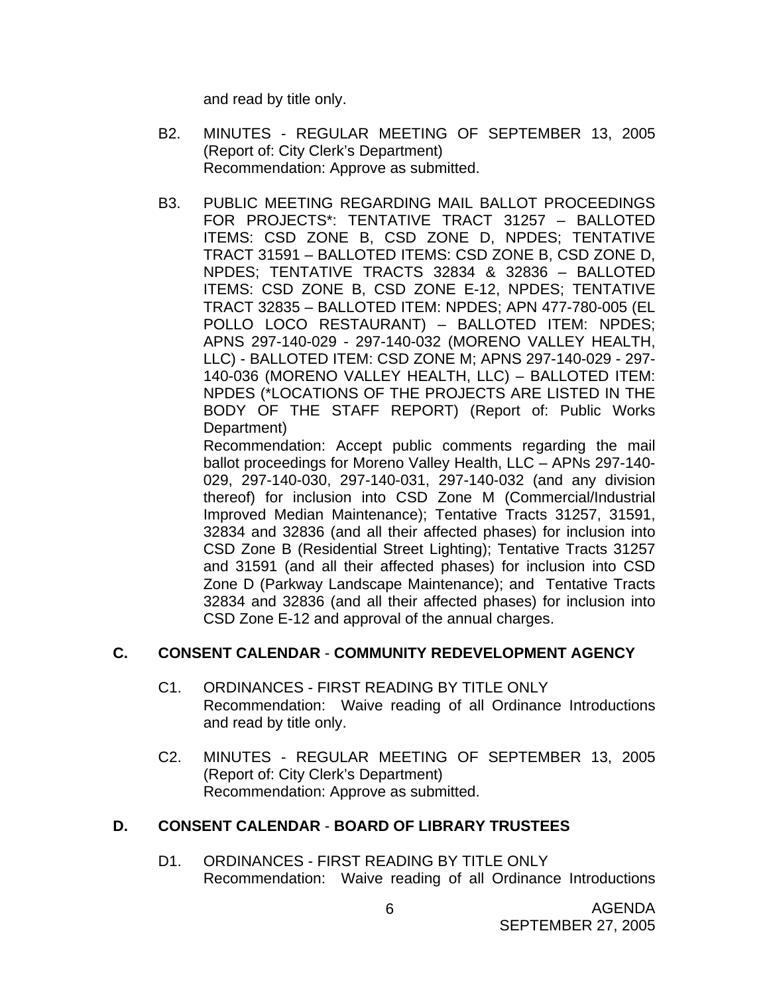and read by title only.

- B2. MINUTES REGULAR MEETING OF SEPTEMBER 13, 2005 (Report of: City Clerk's Department) Recommendation: Approve as submitted.
- B3. PUBLIC MEETING REGARDING MAIL BALLOT PROCEEDINGS FOR PROJECTS\*: TENTATIVE TRACT 31257 – BALLOTED ITEMS: CSD ZONE B, CSD ZONE D, NPDES; TENTATIVE TRACT 31591 – BALLOTED ITEMS: CSD ZONE B, CSD ZONE D, NPDES; TENTATIVE TRACTS 32834 & 32836 – BALLOTED ITEMS: CSD ZONE B, CSD ZONE E-12, NPDES; TENTATIVE TRACT 32835 – BALLOTED ITEM: NPDES; APN 477-780-005 (EL POLLO LOCO RESTAURANT) – BALLOTED ITEM: NPDES; APNS 297-140-029 - 297-140-032 (MORENO VALLEY HEALTH, LLC) - BALLOTED ITEM: CSD ZONE M; APNS 297-140-029 - 297- 140-036 (MORENO VALLEY HEALTH, LLC) – BALLOTED ITEM: NPDES (\*LOCATIONS OF THE PROJECTS ARE LISTED IN THE BODY OF THE STAFF REPORT) (Report of: Public Works Department)

 Recommendation: Accept public comments regarding the mail ballot proceedings for Moreno Valley Health, LLC – APNs 297-140- 029, 297-140-030, 297-140-031, 297-140-032 (and any division thereof) for inclusion into CSD Zone M (Commercial/Industrial Improved Median Maintenance); Tentative Tracts 31257, 31591, 32834 and 32836 (and all their affected phases) for inclusion into CSD Zone B (Residential Street Lighting); Tentative Tracts 31257 and 31591 (and all their affected phases) for inclusion into CSD Zone D (Parkway Landscape Maintenance); and Tentative Tracts 32834 and 32836 (and all their affected phases) for inclusion into CSD Zone E-12 and approval of the annual charges.

## **C. CONSENT CALENDAR** - **COMMUNITY REDEVELOPMENT AGENCY**

- C1. ORDINANCES FIRST READING BY TITLE ONLY Recommendation: Waive reading of all Ordinance Introductions and read by title only.
- C2. MINUTES REGULAR MEETING OF SEPTEMBER 13, 2005 (Report of: City Clerk's Department) Recommendation: Approve as submitted.

## **D. CONSENT CALENDAR** - **BOARD OF LIBRARY TRUSTEES**

D1. ORDINANCES - FIRST READING BY TITLE ONLY Recommendation: Waive reading of all Ordinance Introductions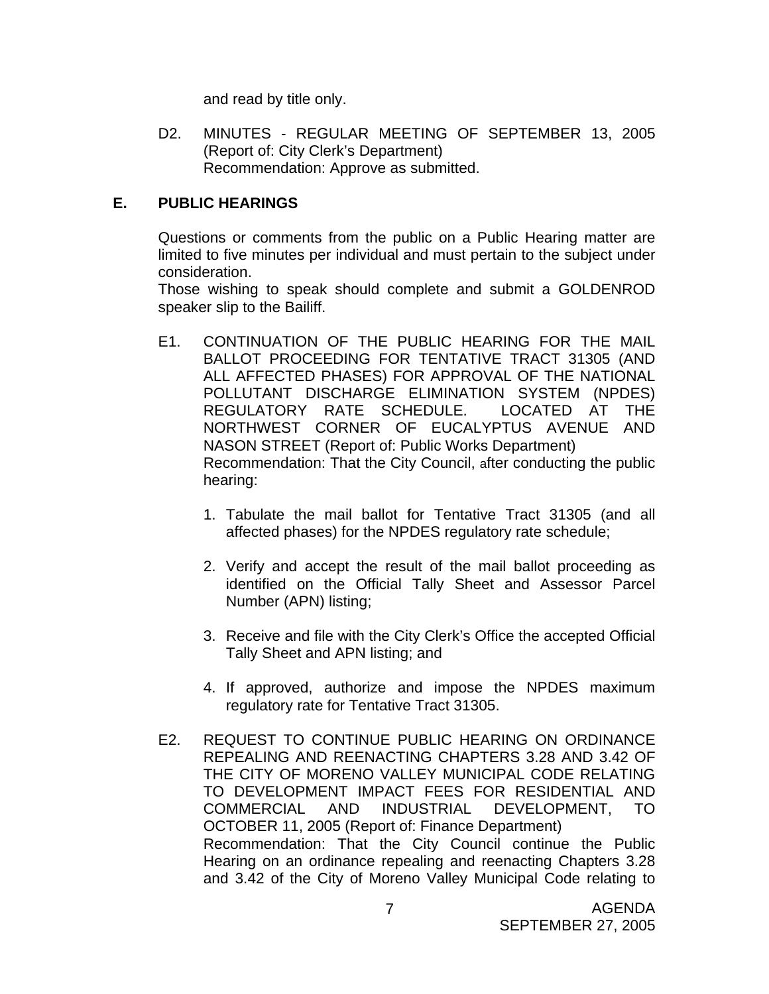and read by title only.

D2. MINUTES - REGULAR MEETING OF SEPTEMBER 13, 2005 (Report of: City Clerk's Department) Recommendation: Approve as submitted.

# **E. PUBLIC HEARINGS**

Questions or comments from the public on a Public Hearing matter are limited to five minutes per individual and must pertain to the subject under consideration.

 Those wishing to speak should complete and submit a GOLDENROD speaker slip to the Bailiff.

- E1. CONTINUATION OF THE PUBLIC HEARING FOR THE MAIL BALLOT PROCEEDING FOR TENTATIVE TRACT 31305 (AND ALL AFFECTED PHASES) FOR APPROVAL OF THE NATIONAL POLLUTANT DISCHARGE ELIMINATION SYSTEM (NPDES) REGULATORY RATE SCHEDULE. LOCATED AT THE NORTHWEST CORNER OF EUCALYPTUS AVENUE AND NASON STREET (Report of: Public Works Department) Recommendation: That the City Council, after conducting the public hearing:
	- 1. Tabulate the mail ballot for Tentative Tract 31305 (and all affected phases) for the NPDES regulatory rate schedule;
	- 2. Verify and accept the result of the mail ballot proceeding as identified on the Official Tally Sheet and Assessor Parcel Number (APN) listing;
	- 3. Receive and file with the City Clerk's Office the accepted Official Tally Sheet and APN listing; and
	- 4. If approved, authorize and impose the NPDES maximum regulatory rate for Tentative Tract 31305.
- E2. REQUEST TO CONTINUE PUBLIC HEARING ON ORDINANCE REPEALING AND REENACTING CHAPTERS 3.28 AND 3.42 OF THE CITY OF MORENO VALLEY MUNICIPAL CODE RELATING TO DEVELOPMENT IMPACT FEES FOR RESIDENTIAL AND COMMERCIAL AND INDUSTRIAL DEVELOPMENT, TO OCTOBER 11, 2005 (Report of: Finance Department) Recommendation: That the City Council continue the Public Hearing on an ordinance repealing and reenacting Chapters 3.28 and 3.42 of the City of Moreno Valley Municipal Code relating to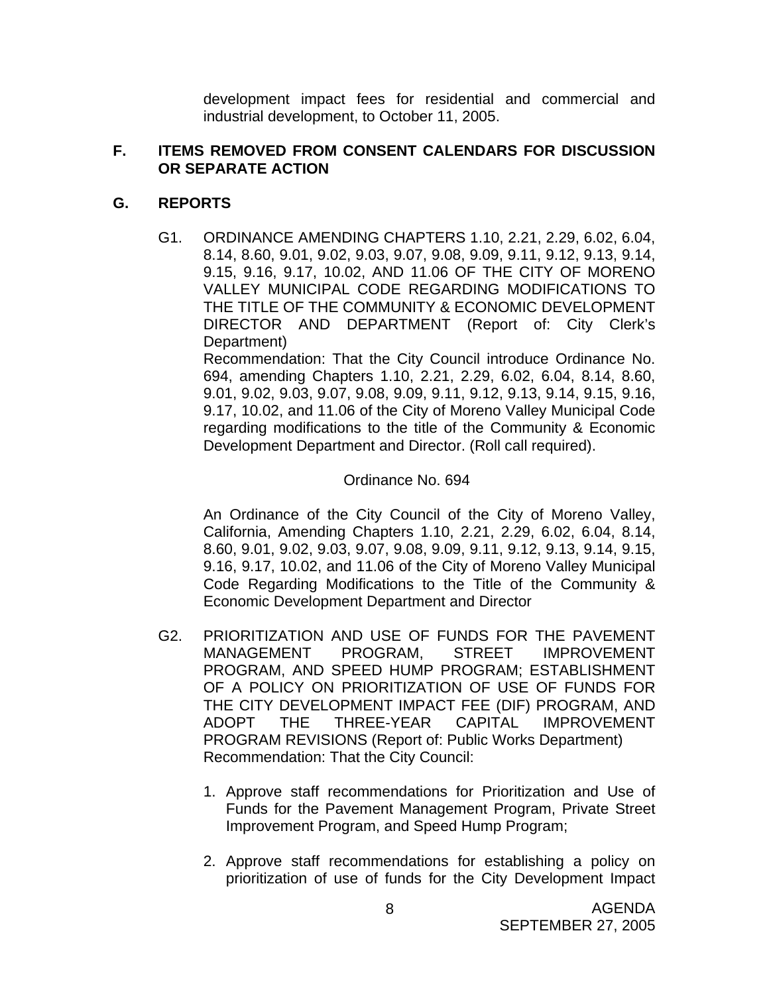development impact fees for residential and commercial and industrial development, to October 11, 2005.

## **F. ITEMS REMOVED FROM CONSENT CALENDARS FOR DISCUSSION OR SEPARATE ACTION**

# **G. REPORTS**

G1. ORDINANCE AMENDING CHAPTERS 1.10, 2.21, 2.29, 6.02, 6.04, 8.14, 8.60, 9.01, 9.02, 9.03, 9.07, 9.08, 9.09, 9.11, 9.12, 9.13, 9.14, 9.15, 9.16, 9.17, 10.02, AND 11.06 OF THE CITY OF MORENO VALLEY MUNICIPAL CODE REGARDING MODIFICATIONS TO THE TITLE OF THE COMMUNITY & ECONOMIC DEVELOPMENT DIRECTOR AND DEPARTMENT (Report of: City Clerk's Department)

 Recommendation: That the City Council introduce Ordinance No. 694, amending Chapters 1.10, 2.21, 2.29, 6.02, 6.04, 8.14, 8.60, 9.01, 9.02, 9.03, 9.07, 9.08, 9.09, 9.11, 9.12, 9.13, 9.14, 9.15, 9.16, 9.17, 10.02, and 11.06 of the City of Moreno Valley Municipal Code regarding modifications to the title of the Community & Economic Development Department and Director. (Roll call required).

#### Ordinance No. 694

 An Ordinance of the City Council of the City of Moreno Valley, California, Amending Chapters 1.10, 2.21, 2.29, 6.02, 6.04, 8.14, 8.60, 9.01, 9.02, 9.03, 9.07, 9.08, 9.09, 9.11, 9.12, 9.13, 9.14, 9.15, 9.16, 9.17, 10.02, and 11.06 of the City of Moreno Valley Municipal Code Regarding Modifications to the Title of the Community & Economic Development Department and Director

- G2. PRIORITIZATION AND USE OF FUNDS FOR THE PAVEMENT MANAGEMENT PROGRAM, STREET IMPROVEMENT PROGRAM, AND SPEED HUMP PROGRAM; ESTABLISHMENT OF A POLICY ON PRIORITIZATION OF USE OF FUNDS FOR THE CITY DEVELOPMENT IMPACT FEE (DIF) PROGRAM, AND ADOPT THE THREE-YEAR CAPITAL IMPROVEMENT PROGRAM REVISIONS (Report of: Public Works Department) Recommendation: That the City Council:
	- 1. Approve staff recommendations for Prioritization and Use of Funds for the Pavement Management Program, Private Street Improvement Program, and Speed Hump Program;
	- 2. Approve staff recommendations for establishing a policy on prioritization of use of funds for the City Development Impact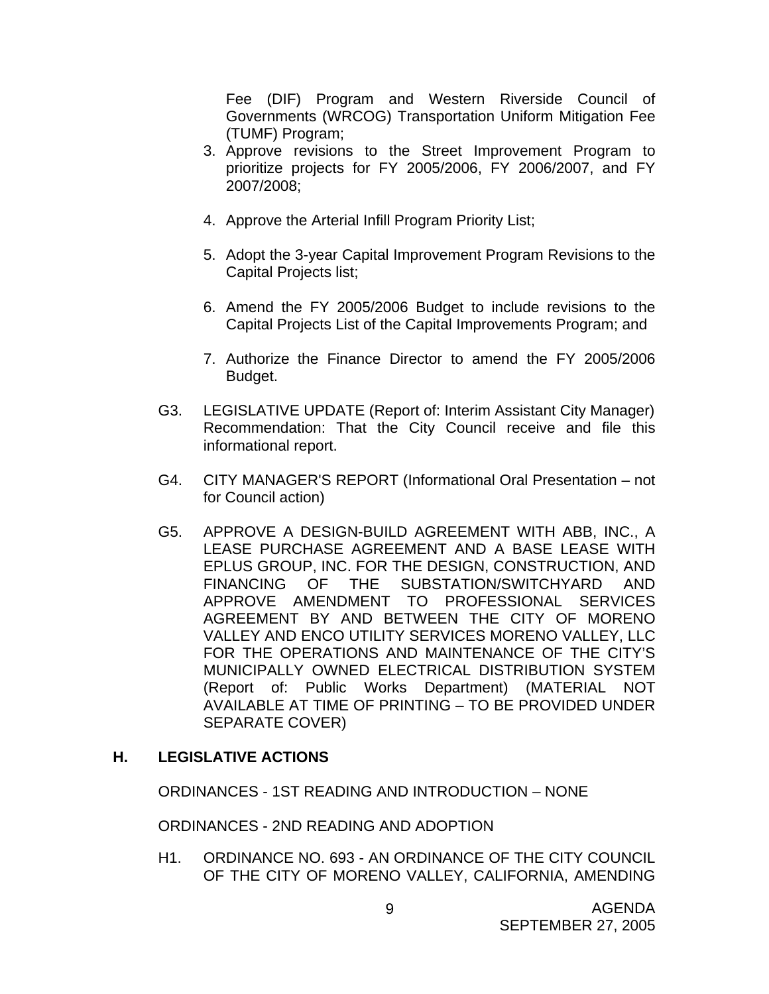Fee (DIF) Program and Western Riverside Council of Governments (WRCOG) Transportation Uniform Mitigation Fee (TUMF) Program;

- 3. Approve revisions to the Street Improvement Program to prioritize projects for FY 2005/2006, FY 2006/2007, and FY 2007/2008;
- 4. Approve the Arterial Infill Program Priority List;
- 5. Adopt the 3-year Capital Improvement Program Revisions to the Capital Projects list;
- 6. Amend the FY 2005/2006 Budget to include revisions to the Capital Projects List of the Capital Improvements Program; and
- 7. Authorize the Finance Director to amend the FY 2005/2006 Budget.
- G3. LEGISLATIVE UPDATE (Report of: Interim Assistant City Manager) Recommendation: That the City Council receive and file this informational report.
- G4. CITY MANAGER'S REPORT (Informational Oral Presentation not for Council action)
- G5. APPROVE A DESIGN-BUILD AGREEMENT WITH ABB, INC., A LEASE PURCHASE AGREEMENT AND A BASE LEASE WITH EPLUS GROUP, INC. FOR THE DESIGN, CONSTRUCTION, AND FINANCING OF THE SUBSTATION/SWITCHYARD AND APPROVE AMENDMENT TO PROFESSIONAL SERVICES AGREEMENT BY AND BETWEEN THE CITY OF MORENO VALLEY AND ENCO UTILITY SERVICES MORENO VALLEY, LLC FOR THE OPERATIONS AND MAINTENANCE OF THE CITY'S MUNICIPALLY OWNED ELECTRICAL DISTRIBUTION SYSTEM (Report of: Public Works Department) (MATERIAL NOT AVAILABLE AT TIME OF PRINTING – TO BE PROVIDED UNDER SEPARATE COVER)

## **H. LEGISLATIVE ACTIONS**

ORDINANCES - 1ST READING AND INTRODUCTION – NONE

ORDINANCES - 2ND READING AND ADOPTION

H1. ORDINANCE NO. 693 - AN ORDINANCE OF THE CITY COUNCIL OF THE CITY OF MORENO VALLEY, CALIFORNIA, AMENDING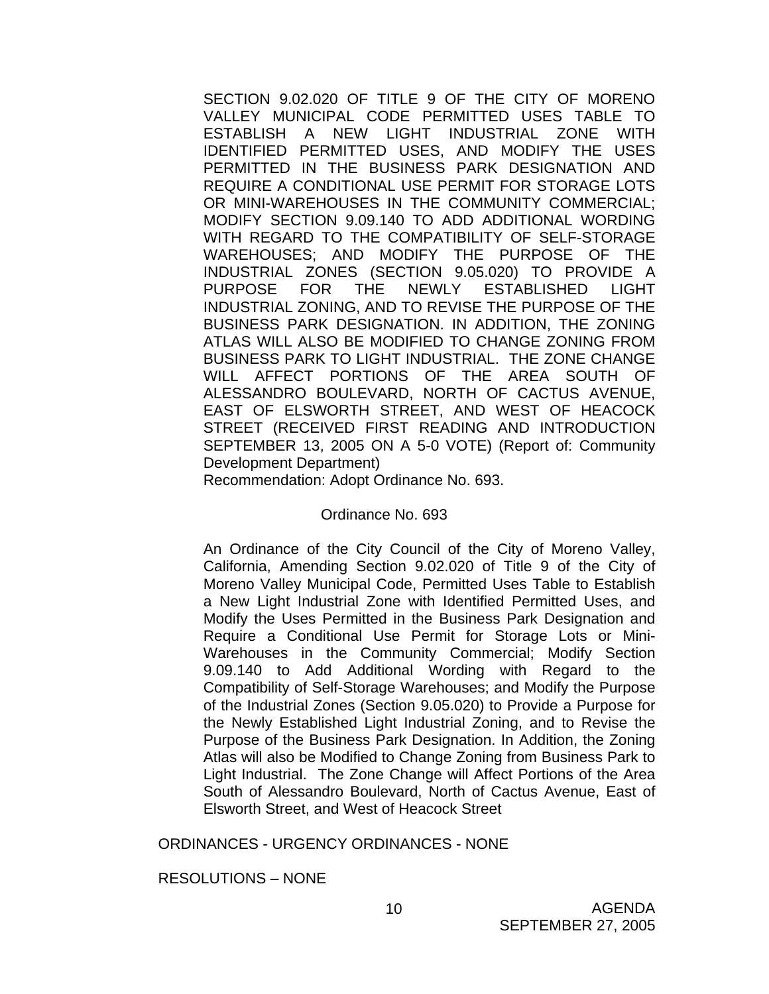SECTION 9.02.020 OF TITLE 9 OF THE CITY OF MORENO VALLEY MUNICIPAL CODE PERMITTED USES TABLE TO ESTABLISH A NEW LIGHT INDUSTRIAL ZONE WITH IDENTIFIED PERMITTED USES, AND MODIFY THE USES PERMITTED IN THE BUSINESS PARK DESIGNATION AND REQUIRE A CONDITIONAL USE PERMIT FOR STORAGE LOTS OR MINI-WAREHOUSES IN THE COMMUNITY COMMERCIAL; MODIFY SECTION 9.09.140 TO ADD ADDITIONAL WORDING WITH REGARD TO THE COMPATIBILITY OF SELF-STORAGE WAREHOUSES; AND MODIFY THE PURPOSE OF THE INDUSTRIAL ZONES (SECTION 9.05.020) TO PROVIDE A PURPOSE FOR THE NEWLY ESTABLISHED LIGHT INDUSTRIAL ZONING, AND TO REVISE THE PURPOSE OF THE BUSINESS PARK DESIGNATION. IN ADDITION, THE ZONING ATLAS WILL ALSO BE MODIFIED TO CHANGE ZONING FROM BUSINESS PARK TO LIGHT INDUSTRIAL. THE ZONE CHANGE WILL AFFECT PORTIONS OF THE AREA SOUTH OF ALESSANDRO BOULEVARD, NORTH OF CACTUS AVENUE, EAST OF ELSWORTH STREET, AND WEST OF HEACOCK STREET (RECEIVED FIRST READING AND INTRODUCTION SEPTEMBER 13, 2005 ON A 5-0 VOTE) (Report of: Community Development Department)

Recommendation: Adopt Ordinance No. 693.

#### Ordinance No. 693

 An Ordinance of the City Council of the City of Moreno Valley, California, Amending Section 9.02.020 of Title 9 of the City of Moreno Valley Municipal Code, Permitted Uses Table to Establish a New Light Industrial Zone with Identified Permitted Uses, and Modify the Uses Permitted in the Business Park Designation and Require a Conditional Use Permit for Storage Lots or Mini-Warehouses in the Community Commercial; Modify Section 9.09.140 to Add Additional Wording with Regard to the Compatibility of Self-Storage Warehouses; and Modify the Purpose of the Industrial Zones (Section 9.05.020) to Provide a Purpose for the Newly Established Light Industrial Zoning, and to Revise the Purpose of the Business Park Designation. In Addition, the Zoning Atlas will also be Modified to Change Zoning from Business Park to Light Industrial. The Zone Change will Affect Portions of the Area South of Alessandro Boulevard, North of Cactus Avenue, East of Elsworth Street, and West of Heacock Street

ORDINANCES - URGENCY ORDINANCES - NONE

RESOLUTIONS – NONE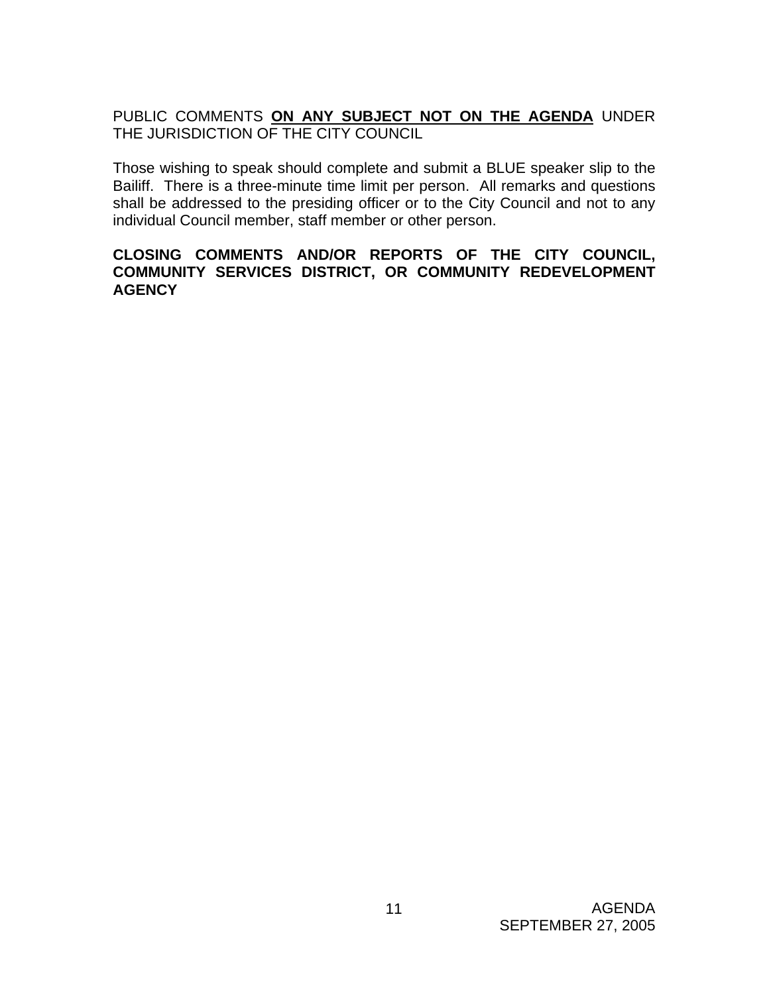# PUBLIC COMMENTS **ON ANY SUBJECT NOT ON THE AGENDA** UNDER THE JURISDICTION OF THE CITY COUNCIL

Those wishing to speak should complete and submit a BLUE speaker slip to the Bailiff. There is a three-minute time limit per person. All remarks and questions shall be addressed to the presiding officer or to the City Council and not to any individual Council member, staff member or other person.

## **CLOSING COMMENTS AND/OR REPORTS OF THE CITY COUNCIL, COMMUNITY SERVICES DISTRICT, OR COMMUNITY REDEVELOPMENT AGENCY**